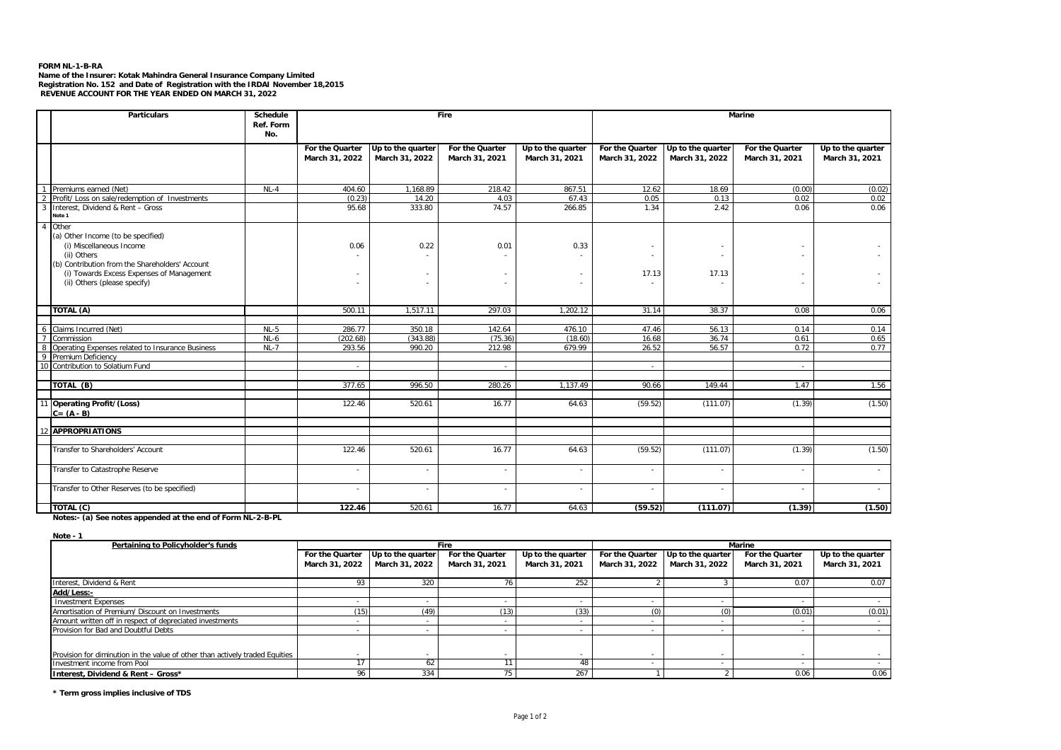## **FORM NL-1-B-RA**

Name of the Insurer: Kotak Mahindra General Insurance Company Limited<br>Registration No. 152 and Date of Registration with the IRDAI November 18,2015<br>REVENUE ACCOUNT FOR THE YEAR ENDED ON MARCH 31, 2022

|                          | <b>Particulars</b>                                                                                                                                                                                                     | Schedule<br>Ref. Form<br>No. |                                   |                                     | Fire                              |                                     | <b>Marine</b>                     |                                         |                                   |                                     |
|--------------------------|------------------------------------------------------------------------------------------------------------------------------------------------------------------------------------------------------------------------|------------------------------|-----------------------------------|-------------------------------------|-----------------------------------|-------------------------------------|-----------------------------------|-----------------------------------------|-----------------------------------|-------------------------------------|
|                          |                                                                                                                                                                                                                        |                              | For the Quarter<br>March 31, 2022 | Up to the quarter<br>March 31, 2022 | For the Quarter<br>March 31, 2021 | Up to the quarter<br>March 31, 2021 | For the Quarter<br>March 31, 2022 | Up to the quarter<br>March 31, 2022     | For the Quarter<br>March 31, 2021 | Up to the quarter<br>March 31, 2021 |
|                          | Premiums earned (Net)                                                                                                                                                                                                  | $NL-4$                       | 404.60                            | 1,168.89                            | 218.42                            | 867.51                              | 12.62                             | 18.69                                   | (0.00)                            | (0.02)                              |
| $\overline{\phantom{a}}$ | Profit/ Loss on sale/redemption of Investments                                                                                                                                                                         |                              | (0.23)                            | 14.20                               | 4.03                              | 67.43                               | 0.05                              | 0.13                                    | 0.02                              | 0.02                                |
| 3                        | Interest, Dividend & Rent - Gross<br>Note 1                                                                                                                                                                            |                              | 95.68                             | 333.80                              | 74.57                             | 266.85                              | 1.34                              | 2.42                                    | 0.06                              | 0.06                                |
| $\overline{4}$           | Other<br>(a) Other Income (to be specified)<br>(i) Miscellaneous Income<br>(ii) Others<br>(b) Contribution from the Shareholders' Account<br>(i) Towards Excess Expenses of Management<br>(ii) Others (please specify) |                              | 0.06                              | 0.22                                | 0.01                              | 0.33                                | ٠<br>17.13                        | ٠.<br>$\overline{\phantom{a}}$<br>17.13 |                                   |                                     |
|                          | TOTAL (A)                                                                                                                                                                                                              |                              | 500.11                            | 1,517.11                            | 297.03                            | 1,202.12                            | 31.14                             | 38.37                                   | 0.08                              | 0.06                                |
|                          |                                                                                                                                                                                                                        |                              |                                   |                                     |                                   |                                     |                                   |                                         |                                   |                                     |
|                          | 6 Claims Incurred (Net)<br>7 Commission                                                                                                                                                                                | $NL-5$                       | 286.77                            | 350.18                              | 142.64                            | 476.10                              | 47.46                             | 56.13                                   | 0.14                              | 0.14                                |
|                          |                                                                                                                                                                                                                        | $NL-6$                       | (202.68)                          | (343.88)                            | (75.36)                           | (18.60)                             | 16.68                             | 36.74                                   | 0.61                              | 0.65                                |
| $\overline{\mathbf{8}}$  | Operating Expenses related to Insurance Business                                                                                                                                                                       | $NL-7$                       | 293.56                            | 990.20                              | 212.98                            | 679.99                              | 26.52                             | 56.57                                   | 0.72                              | 0.77                                |
|                          | 9 Premium Deficiency                                                                                                                                                                                                   |                              |                                   |                                     |                                   |                                     |                                   |                                         |                                   |                                     |
|                          | 10 Contribution to Solatium Fund                                                                                                                                                                                       |                              |                                   |                                     |                                   |                                     |                                   |                                         |                                   |                                     |
|                          | TOTAL (B)                                                                                                                                                                                                              |                              | 377.65                            | 996.50                              | 280.26                            | 1.137.49                            | 90.66                             | 149.44                                  | 1.47                              | 1.56                                |
|                          | 11 Operating Profit/(Loss)<br>$C = (A - B)$                                                                                                                                                                            |                              | 122.46                            | 520.61                              | 16.77                             | 64.63                               | (59.52)                           | (111.07)                                | (1.39)                            | (1.50)                              |
|                          | 12 APPROPRIATIONS                                                                                                                                                                                                      |                              |                                   |                                     |                                   |                                     |                                   |                                         |                                   |                                     |
|                          | Transfer to Shareholders' Account                                                                                                                                                                                      |                              | 122.46                            | 520.61                              | 16.77                             | 64.63                               | (59.52)                           | (111.07)                                | (1.39)                            | (1.50)                              |
|                          | Transfer to Catastrophe Reserve                                                                                                                                                                                        |                              |                                   | ٠                                   |                                   |                                     |                                   |                                         |                                   |                                     |
|                          | Transfer to Other Reserves (to be specified)                                                                                                                                                                           |                              | ٠                                 | ٠                                   | $\sim$                            |                                     | ٠                                 | $\overline{\phantom{a}}$                |                                   | $\sim$                              |
|                          | $\overline{TOTAL}$ (C)                                                                                                                                                                                                 |                              | 122.46                            | 520.61                              | 16.77                             | 64.63                               | (59.52)                           | (111.07)                                | (1.39)                            | (1.50)                              |

**Notes:- (a) See notes appended at the end of Form NL-2-B-PL**

**Note - 1**

| Pertaining to Policyholder's funds                                           | Fire            |                   |                          |                   | Marine          |                   |                 |                     |
|------------------------------------------------------------------------------|-----------------|-------------------|--------------------------|-------------------|-----------------|-------------------|-----------------|---------------------|
|                                                                              | For the Quarter | Up to the quarter | For the Quarter          | Up to the quarter | For the Quarter | Up to the quarter | For the Quarter | $Up$ to the quarter |
|                                                                              | March 31, 2022  | March 31, 2022    | March 31, 2021           | March 31, 2021    | March 31, 2022  | March 31, 2022    | March 31, 2021  | March 31, 2021      |
|                                                                              |                 |                   |                          |                   |                 |                   |                 |                     |
| Interest. Dividend & Rent                                                    |                 | 320               |                          | 252               |                 |                   | 0.07            | 0.07                |
| Add/Less:-                                                                   |                 |                   |                          |                   |                 |                   |                 |                     |
| <b>Investment Expenses</b>                                                   |                 |                   |                          |                   |                 |                   |                 |                     |
| Amortisation of Premium/ Discount on Investments                             | (15)            | (49               | (13)                     | (33)              | (0)             | (0)               | (0.01)          | (0.01)              |
| Amount written off in respect of depreciated investments                     |                 |                   |                          |                   |                 |                   |                 |                     |
| Provision for Bad and Doubtful Debts                                         |                 |                   |                          |                   |                 |                   |                 |                     |
|                                                                              |                 |                   |                          |                   |                 |                   |                 |                     |
| Provision for diminution in the value of other than actively traded Equities |                 |                   | $\overline{\phantom{a}}$ |                   |                 |                   |                 |                     |
| Investment income from Pool                                                  |                 |                   |                          |                   |                 |                   |                 |                     |
| Interest, Dividend & Rent - Gross*                                           | 96              | 334               |                          | 267               |                 |                   | 0.06            | 0.06                |

**\* Term gross implies inclusive of TDS**